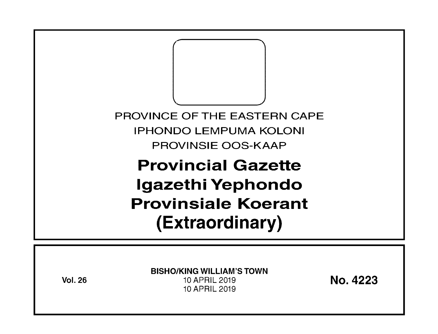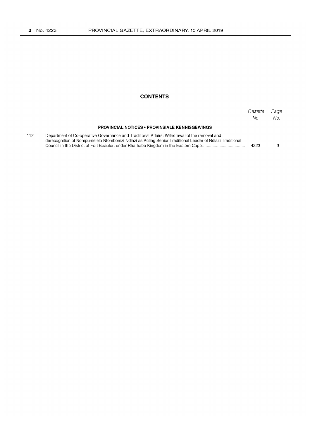### **CONTENTS**

|     |                                                                                                                                                                                                         | Gazette<br>No. | Page<br>No. |
|-----|---------------------------------------------------------------------------------------------------------------------------------------------------------------------------------------------------------|----------------|-------------|
|     | <b>PROVINCIAL NOTICES • PROVINSIALE KENNISGEWINGS</b>                                                                                                                                                   |                |             |
| 112 | Department of Co-operative Governance and Traditional Affairs: Withdrawal of the removal and<br>derecognition of Nompumelelo Ntombomzi Ndlazi as Acting Senior Traditional Leader of Ndlazi Traditional | 4223           |             |